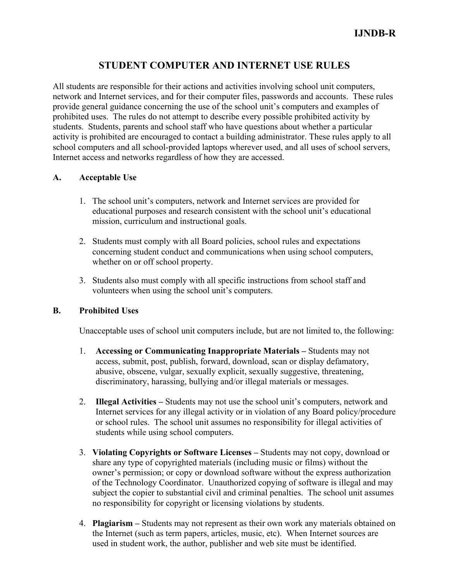# **STUDENT COMPUTER AND INTERNET USE RULES**

All students are responsible for their actions and activities involving school unit computers, network and Internet services, and for their computer files, passwords and accounts. These rules provide general guidance concerning the use of the school unit's computers and examples of prohibited uses. The rules do not attempt to describe every possible prohibited activity by students. Students, parents and school staff who have questions about whether a particular activity is prohibited are encouraged to contact a building administrator. These rules apply to all school computers and all school-provided laptops wherever used, and all uses of school servers, Internet access and networks regardless of how they are accessed.

## **A. Acceptable Use**

- 1. The school unit's computers, network and Internet services are provided for educational purposes and research consistent with the school unit's educational mission, curriculum and instructional goals.
- 2. Students must comply with all Board policies, school rules and expectations concerning student conduct and communications when using school computers, whether on or off school property.
- 3. Students also must comply with all specific instructions from school staff and volunteers when using the school unit's computers.

## **B. Prohibited Uses**

Unacceptable uses of school unit computers include, but are not limited to, the following:

- 1. **Accessing or Communicating Inappropriate Materials –** Students may not access, submit, post, publish, forward, download, scan or display defamatory, abusive, obscene, vulgar, sexually explicit, sexually suggestive, threatening, discriminatory, harassing, bullying and/or illegal materials or messages.
- 2. **Illegal Activities –** Students may not use the school unit's computers, network and Internet services for any illegal activity or in violation of any Board policy/procedure or school rules. The school unit assumes no responsibility for illegal activities of students while using school computers.
- 3. **Violating Copyrights or Software Licenses –** Students may not copy, download or share any type of copyrighted materials (including music or films) without the owner's permission; or copy or download software without the express authorization of the Technology Coordinator. Unauthorized copying of software is illegal and may subject the copier to substantial civil and criminal penalties. The school unit assumes no responsibility for copyright or licensing violations by students.
- 4. **Plagiarism –** Students may not represent as their own work any materials obtained on the Internet (such as term papers, articles, music, etc). When Internet sources are used in student work, the author, publisher and web site must be identified.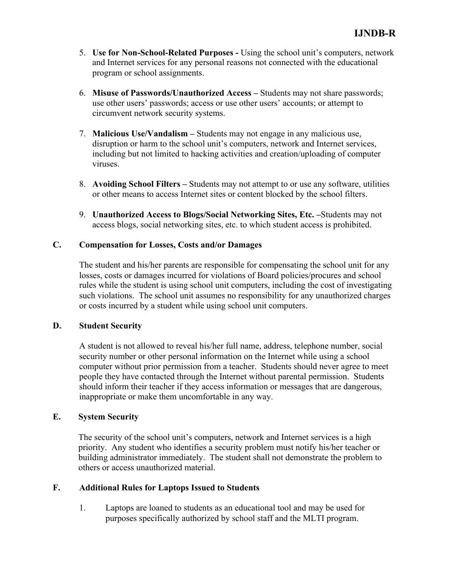- 5. **Use for Non-School-Related Purposes -** Using the school unit's computers, network and Internet services for any personal reasons not connected with the educational program or school assignments.
- 6. **Misuse of Passwords/Unauthorized Access –** Students may not share passwords; use other users' passwords; access or use other users' accounts; or attempt to circumvent network security systems.
- 7. **Malicious Use/Vandalism –** Students may not engage in any malicious use, disruption or harm to the school unit's computers, network and Internet services, including but not limited to hacking activities and creation/uploading of computer viruses.
- 8. **Avoiding School Filters –** Students may not attempt to or use any software, utilities or other means to access Internet sites or content blocked by the school filters.
- 9. **Unauthorized Access to Blogs/Social Networking Sites, Etc. –**Students may not access blogs, social networking sites, etc. to which student access is prohibited.

#### **C. Compensation for Losses, Costs and/or Damages**

The student and his/her parents are responsible for compensating the school unit for any losses, costs or damages incurred for violations of Board policies/procures and school rules while the student is using school unit computers, including the cost of investigating such violations. The school unit assumes no responsibility for any unauthorized charges or costs incurred by a student while using school unit computers.

#### **D. Student Security**

A student is not allowed to reveal his/her full name, address, telephone number, social security number or other personal information on the Internet while using a school computer without prior permission from a teacher. Students should never agree to meet people they have contacted through the Internet without parental permission. Students should inform their teacher if they access information or messages that are dangerous, inappropriate or make them uncomfortable in any way.

## **E. System Security**

The security of the school unit's computers, network and Internet services is a high priority. Any student who identifies a security problem must notify his/her teacher or building administrator immediately. The student shall not demonstrate the problem to others or access unauthorized material.

## **F. Additional Rules for Laptops Issued to Students**

1. Laptops are loaned to students as an educational tool and may be used for purposes specifically authorized by school staff and the MLTI program.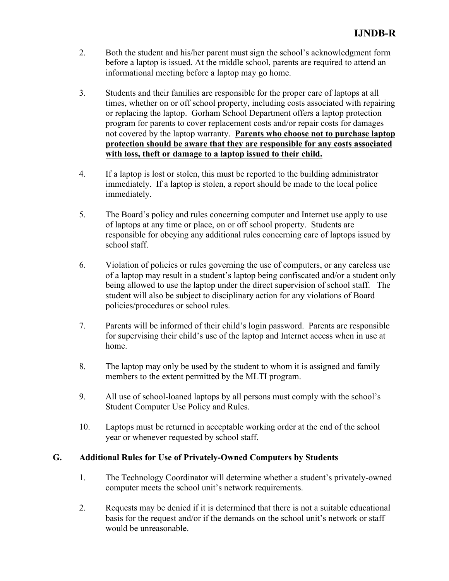- 2. Both the student and his/her parent must sign the school's acknowledgment form before a laptop is issued. At the middle school, parents are required to attend an informational meeting before a laptop may go home.
- 3. Students and their families are responsible for the proper care of laptops at all times, whether on or off school property, including costs associated with repairing or replacing the laptop. Gorham School Department offers a laptop protection program for parents to cover replacement costs and/or repair costs for damages not covered by the laptop warranty. **Parents who choose not to purchase laptop protection should be aware that they are responsible for any costs associated with loss, theft or damage to a laptop issued to their child.**
- 4. If a laptop is lost or stolen, this must be reported to the building administrator immediately. If a laptop is stolen, a report should be made to the local police immediately.
- 5. The Board's policy and rules concerning computer and Internet use apply to use of laptops at any time or place, on or off school property. Students are responsible for obeying any additional rules concerning care of laptops issued by school staff.
- 6. Violation of policies or rules governing the use of computers, or any careless use of a laptop may result in a student's laptop being confiscated and/or a student only being allowed to use the laptop under the direct supervision of school staff. The student will also be subject to disciplinary action for any violations of Board policies/procedures or school rules.
- 7. Parents will be informed of their child's login password. Parents are responsible for supervising their child's use of the laptop and Internet access when in use at home.
- 8. The laptop may only be used by the student to whom it is assigned and family members to the extent permitted by the MLTI program.
- 9. All use of school-loaned laptops by all persons must comply with the school's Student Computer Use Policy and Rules.
- 10. Laptops must be returned in acceptable working order at the end of the school year or whenever requested by school staff.

## **G. Additional Rules for Use of Privately-Owned Computers by Students**

- 1. The Technology Coordinator will determine whether a student's privately-owned computer meets the school unit's network requirements.
- 2. Requests may be denied if it is determined that there is not a suitable educational basis for the request and/or if the demands on the school unit's network or staff would be unreasonable.